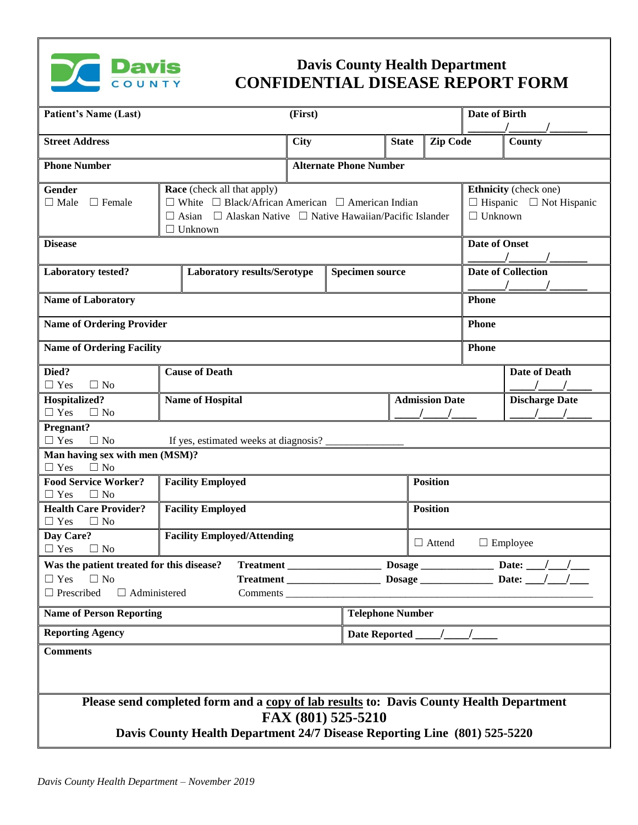

## **Davis County Health Department CONFIDENTIAL DISEASE REPORT FORM**

| <b>Patient's Name (Last)</b>                                                                                                                                                               |                                                                                                                                                                                                            | (First)     |                                  |                                                |                 | Date of Birth                                                                  |                      |  |
|--------------------------------------------------------------------------------------------------------------------------------------------------------------------------------------------|------------------------------------------------------------------------------------------------------------------------------------------------------------------------------------------------------------|-------------|----------------------------------|------------------------------------------------|-----------------|--------------------------------------------------------------------------------|----------------------|--|
| <b>Street Address</b>                                                                                                                                                                      |                                                                                                                                                                                                            | <b>City</b> |                                  | <b>State</b>                                   | <b>Zip Code</b> |                                                                                | County               |  |
| <b>Phone Number</b>                                                                                                                                                                        |                                                                                                                                                                                                            |             | <b>Alternate Phone Number</b>    |                                                |                 |                                                                                |                      |  |
| Gender<br>$\Box$ Male<br>$\Box$ Female                                                                                                                                                     | <b>Race</b> (check all that apply)<br>$\Box$ White $\Box$ Black/African American $\Box$ American Indian<br>$\Box$ Alaskan Native $\Box$ Native Hawaiian/Pacific Islander<br>$\Box$ Asian<br>$\Box$ Unknown |             |                                  |                                                |                 | Ethnicity (check one)<br>$\Box$ Hispanic $\Box$ Not Hispanic<br>$\Box$ Unknown |                      |  |
| <b>Disease</b>                                                                                                                                                                             |                                                                                                                                                                                                            |             |                                  |                                                |                 | <b>Date of Onset</b>                                                           |                      |  |
| <b>Laboratory tested?</b>                                                                                                                                                                  | Laboratory results/Serotype                                                                                                                                                                                |             | <b>Specimen source</b>           |                                                |                 | <b>Date of Collection</b>                                                      |                      |  |
| <b>Name of Laboratory</b>                                                                                                                                                                  |                                                                                                                                                                                                            |             |                                  |                                                |                 | Phone                                                                          |                      |  |
| <b>Name of Ordering Provider</b>                                                                                                                                                           |                                                                                                                                                                                                            |             |                                  |                                                |                 | <b>Phone</b>                                                                   |                      |  |
| <b>Name of Ordering Facility</b>                                                                                                                                                           |                                                                                                                                                                                                            |             |                                  |                                                |                 | <b>Phone</b>                                                                   |                      |  |
| Died?<br>$\Box$ Yes<br>$\Box$ No                                                                                                                                                           | <b>Cause of Death</b>                                                                                                                                                                                      |             |                                  |                                                |                 |                                                                                | <b>Date of Death</b> |  |
| Hospitalized?<br>$\Box$ Yes<br>$\Box$ No                                                                                                                                                   | <b>Name of Hospital</b><br><b>Admission Date</b>                                                                                                                                                           |             |                                  |                                                |                 | <b>Discharge Date</b>                                                          |                      |  |
| Pregnant?<br>$\Box$ Yes<br>$\Box$ No<br>If yes, estimated weeks at diagnosis?                                                                                                              |                                                                                                                                                                                                            |             |                                  |                                                |                 |                                                                                |                      |  |
| Man having sex with men (MSM)?<br>$\Box$ Yes<br>$\Box$ No                                                                                                                                  |                                                                                                                                                                                                            |             |                                  |                                                |                 |                                                                                |                      |  |
| <b>Food Service Worker?</b><br>$\Box$ No<br>$\Box$ Yes                                                                                                                                     | <b>Facility Employed</b>                                                                                                                                                                                   |             | Position                         |                                                |                 |                                                                                |                      |  |
| <b>Health Care Provider?</b><br>$\Box$ Yes<br>$\Box$ No                                                                                                                                    | <b>Facility Employed</b>                                                                                                                                                                                   |             | <b>Position</b>                  |                                                |                 |                                                                                |                      |  |
| Day Care?<br>$\Box$ Yes<br>$\Box$ No                                                                                                                                                       | <b>Facility Employed/Attending</b>                                                                                                                                                                         |             | $\Box$ Attend<br>$\Box$ Employee |                                                |                 |                                                                                |                      |  |
| Was the patient treated for this disease?<br><b>Treatment</b><br>$\Box$ Yes<br>$\Box$ No<br>$\Box$ Prescribed<br>$\Box$ Administered                                                       |                                                                                                                                                                                                            |             |                                  | Date:<br><b>Dosage</b>                         |                 |                                                                                |                      |  |
| <b>Name of Person Reporting</b>                                                                                                                                                            |                                                                                                                                                                                                            |             |                                  | <b>Telephone Number</b>                        |                 |                                                                                |                      |  |
| <b>Reporting Agency</b>                                                                                                                                                                    |                                                                                                                                                                                                            |             |                                  | Date Reported $\frac{1}{\sqrt{1-\frac{1}{2}}}$ |                 |                                                                                |                      |  |
| <b>Comments</b>                                                                                                                                                                            |                                                                                                                                                                                                            |             |                                  |                                                |                 |                                                                                |                      |  |
| Please send completed form and a copy of lab results to: Davis County Health Department<br>FAX (801) 525-5210<br>Davis County Health Department 24/7 Disease Reporting Line (801) 525-5220 |                                                                                                                                                                                                            |             |                                  |                                                |                 |                                                                                |                      |  |